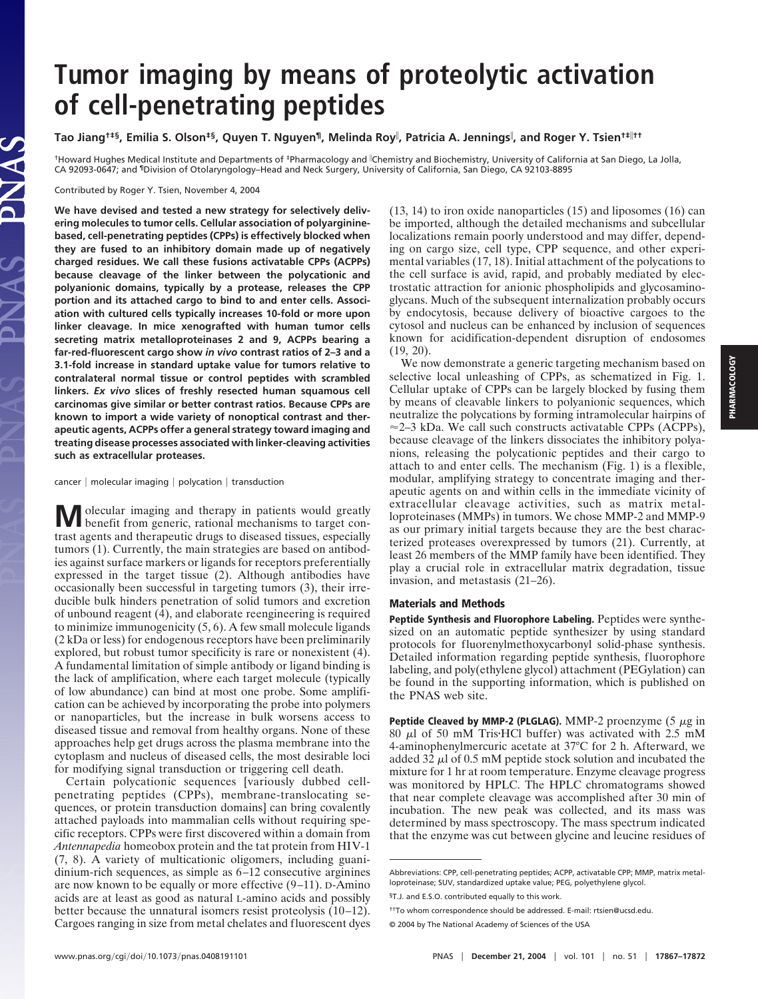# **Tumor imaging by means of proteolytic activation of cell-penetrating peptides**

# **Tao Jiang†‡§, Emilia S. Olson‡§, Quyen T. Nguyen¶, Melinda Roy , Patricia A. Jennings , and Roger Y. Tsien†‡††**

†Howard Hughes Medical Institute and Departments of ‡Pharmacology and Chemistry and Biochemistry, University of California at San Diego, La Jolla, CA 92093-0647; and ¶Division of Otolaryngology–Head and Neck Surgery, University of California, San Diego, CA 92103-8895

Contributed by Roger Y. Tsien, November 4, 2004

**We have devised and tested a new strategy for selectively delivering molecules to tumor cells. Cellular association of polyargininebased, cell-penetrating peptides (CPPs) is effectively blocked when they are fused to an inhibitory domain made up of negatively charged residues. We call these fusions activatable CPPs (ACPPs) because cleavage of the linker between the polycationic and polyanionic domains, typically by a protease, releases the CPP portion and its attached cargo to bind to and enter cells. Association with cultured cells typically increases 10-fold or more upon linker cleavage. In mice xenografted with human tumor cells secreting matrix metalloproteinases 2 and 9, ACPPs bearing a far-red-fluorescent cargo show** *in vivo* **contrast ratios of 2–3 and a 3.1-fold increase in standard uptake value for tumors relative to contralateral normal tissue or control peptides with scrambled linkers.** *Ex vivo* **slices of freshly resected human squamous cell carcinomas give similar or better contrast ratios. Because CPPs are known to import a wide variety of nonoptical contrast and therapeutic agents, ACPPs offer a general strategy toward imaging and treating disease processes associated with linker-cleaving activities such as extracellular proteases.**

#### $cancer \mid molecular\ imaging \mid polycation \mid transition$

**M** olecular imaging and therapy in patients would greatly benefit from generic, rational mechanisms to target contrast agents and therapeutic drugs to diseased tissues, especially tumors (1). Currently, the main strategies are based on antibodies against surface markers or ligands for receptors preferentially expressed in the target tissue (2). Although antibodies have occasionally been successful in targeting tumors (3), their irreducible bulk hinders penetration of solid tumors and excretion of unbound reagent (4), and elaborate reengineering is required to minimize immunogenicity (5, 6). A few small molecule ligands (2 kDa or less) for endogenous receptors have been preliminarily explored, but robust tumor specificity is rare or nonexistent (4). A fundamental limitation of simple antibody or ligand binding is the lack of amplification, where each target molecule (typically of low abundance) can bind at most one probe. Some amplification can be achieved by incorporating the probe into polymers or nanoparticles, but the increase in bulk worsens access to diseased tissue and removal from healthy organs. None of these approaches help get drugs across the plasma membrane into the cytoplasm and nucleus of diseased cells, the most desirable loci for modifying signal transduction or triggering cell death.

Certain polycationic sequences [variously dubbed cellpenetrating peptides (CPPs), membrane-translocating sequences, or protein transduction domains] can bring covalently attached payloads into mammalian cells without requiring specific receptors. CPPs were first discovered within a domain from *Antennapedia* homeobox protein and the tat protein from HIV-1 (7, 8). A variety of multicationic oligomers, including guanidinium-rich sequences, as simple as 6–12 consecutive arginines are now known to be equally or more effective (9–11). D-Amino acids are at least as good as natural L-amino acids and possibly better because the unnatural isomers resist proteolysis (10–12). Cargoes ranging in size from metal chelates and fluorescent dyes

(13, 14) to iron oxide nanoparticles (15) and liposomes (16) can be imported, although the detailed mechanisms and subcellular localizations remain poorly understood and may differ, depending on cargo size, cell type, CPP sequence, and other experimental variables (17, 18). Initial attachment of the polycations to the cell surface is avid, rapid, and probably mediated by electrostatic attraction for anionic phospholipids and glycosaminoglycans. Much of the subsequent internalization probably occurs by endocytosis, because delivery of bioactive cargoes to the cytosol and nucleus can be enhanced by inclusion of sequences known for acidification-dependent disruption of endosomes (19, 20).

We now demonstrate a generic targeting mechanism based on selective local unleashing of CPPs, as schematized in Fig. 1. Cellular uptake of CPPs can be largely blocked by fusing them by means of cleavable linkers to polyanionic sequences, which neutralize the polycations by forming intramolecular hairpins of  $\approx$  2–3 kDa. We call such constructs activatable CPPs (ACPPs), because cleavage of the linkers dissociates the inhibitory polyanions, releasing the polycationic peptides and their cargo to attach to and enter cells. The mechanism (Fig. 1) is a flexible, modular, amplifying strategy to concentrate imaging and therapeutic agents on and within cells in the immediate vicinity of extracellular cleavage activities, such as matrix metalloproteinases (MMPs) in tumors. We chose MMP-2 and MMP-9 as our primary initial targets because they are the best characterized proteases overexpressed by tumors (21). Currently, at least 26 members of the MMP family have been identified. They play a crucial role in extracellular matrix degradation, tissue invasion, and metastasis (21–26).

### **Materials and Methods**

**Peptide Synthesis and Fluorophore Labeling.** Peptides were synthesized on an automatic peptide synthesizer by using standard protocols for fluorenylmethoxycarbonyl solid-phase synthesis. Detailed information regarding peptide synthesis, fluorophore labeling, and poly(ethylene glycol) attachment (PEGylation) can be found in the supporting information, which is published on the PNAS web site.

**Peptide Cleaved by MMP-2 (PLGLAG).** MMP-2 proenzyme  $(5 \mu g)$  in 80  $\mu$ l of 50 mM Tris·HCl buffer) was activated with 2.5 mM 4-aminophenylmercuric acetate at 37°C for 2 h. Afterward, we added 32  $\mu$ l of 0.5 mM peptide stock solution and incubated the mixture for 1 hr at room temperature. Enzyme cleavage progress was monitored by HPLC. The HPLC chromatograms showed that near complete cleavage was accomplished after 30 min of incubation. The new peak was collected, and its mass was determined by mass spectroscopy. The mass spectrum indicated that the enzyme was cut between glycine and leucine residues of

Abbreviations: CPP, cell-penetrating peptides; ACPP, activatable CPP; MMP, matrix metalloproteinase; SUV, standardized uptake value; PEG, polyethylene glycol.

<sup>§</sup>T.J. and E.S.O. contributed equally to this work.

<sup>††</sup>To whom correspondence should be addressed. E-mail: rtsien@ucsd.edu.

<sup>© 2004</sup> by The National Academy of Sciences of the USA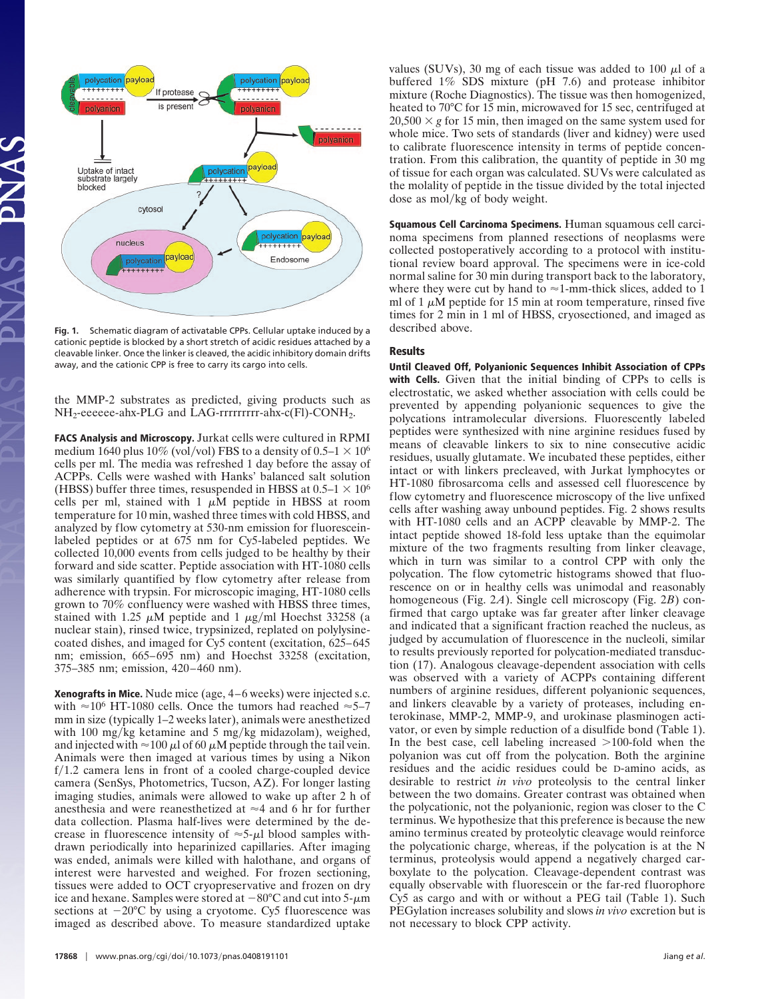

**Fig. 1.** Schematic diagram of activatable CPPs. Cellular uptake induced by a cationic peptide is blocked by a short stretch of acidic residues attached by a cleavable linker. Once the linker is cleaved, the acidic inhibitory domain drifts away, and the cationic CPP is free to carry its cargo into cells.

the MMP-2 substrates as predicted, giving products such as NH<sub>2</sub>-eeeeee-ahx-PLG and LAG-rrrrrrrr-ahx-c(Fl)-CONH<sub>2</sub>.

**FACS Analysis and Microscopy.** Jurkat cells were cultured in RPMI medium 1640 plus 10% (vol/vol) FBS to a density of  $0.5-1 \times 10^6$ cells per ml. The media was refreshed 1 day before the assay of ACPPs. Cells were washed with Hanks' balanced salt solution (HBSS) buffer three times, resuspended in HBSS at  $0.5-1 \times 10^6$ cells per ml, stained with  $1 \mu M$  peptide in HBSS at room temperature for 10 min, washed three times with cold HBSS, and analyzed by flow cytometry at 530-nm emission for fluoresceinlabeled peptides or at 675 nm for Cy5-labeled peptides. We collected 10,000 events from cells judged to be healthy by their forward and side scatter. Peptide association with HT-1080 cells was similarly quantified by flow cytometry after release from adherence with trypsin. For microscopic imaging, HT-1080 cells grown to 70% confluency were washed with HBSS three times, stained with 1.25  $\mu$ M peptide and 1  $\mu$ g/ml Hoechst 33258 (a nuclear stain), rinsed twice, trypsinized, replated on polylysinecoated dishes, and imaged for Cy5 content (excitation, 625–645 nm; emission, 665–695 nm) and Hoechst 33258 (excitation, 375–385 nm; emission, 420–460 nm).

**Xenografts in Mice.** Nude mice (age, 4–6 weeks) were injected s.c. with  $\approx 10^6$  HT-1080 cells. Once the tumors had reached  $\approx 5-7$ mm in size (typically 1–2 weeks later), animals were anesthetized with 100 mg/kg ketamine and 5 mg/kg midazolam), weighed, and injected with  $\approx 100 \mu$  of 60  $\mu$ M peptide through the tail vein. Animals were then imaged at various times by using a Nikon  $f/1.2$  camera lens in front of a cooled charge-coupled device camera (SenSys, Photometrics, Tucson, AZ). For longer lasting imaging studies, animals were allowed to wake up after 2 h of anesthesia and were reanesthetized at  $\approx$ 4 and 6 hr for further data collection. Plasma half-lives were determined by the decrease in fluorescence intensity of  $\approx$  5- $\mu$ l blood samples withdrawn periodically into heparinized capillaries. After imaging was ended, animals were killed with halothane, and organs of interest were harvested and weighed. For frozen sectioning, tissues were added to OCT cryopreservative and frozen on dry ice and hexane. Samples were stored at  $-80^{\circ}$ C and cut into 5- $\mu$ m sections at  $-20^{\circ}$ C by using a cryotome. Cy5 fluorescence was imaged as described above. To measure standardized uptake

values (SUVs), 30 mg of each tissue was added to 100  $\mu$ l of a buffered 1% SDS mixture (pH 7.6) and protease inhibitor mixture (Roche Diagnostics). The tissue was then homogenized, heated to 70°C for 15 min, microwaved for 15 sec, centrifuged at  $20,500 \times g$  for 15 min, then imaged on the same system used for whole mice. Two sets of standards (liver and kidney) were used to calibrate fluorescence intensity in terms of peptide concentration. From this calibration, the quantity of peptide in 30 mg of tissue for each organ was calculated. SUVs were calculated as the molality of peptide in the tissue divided by the total injected dose as mol/kg of body weight.

**Squamous Cell Carcinoma Specimens.** Human squamous cell carcinoma specimens from planned resections of neoplasms were collected postoperatively according to a protocol with institutional review board approval. The specimens were in ice-cold normal saline for 30 min during transport back to the laboratory, where they were cut by hand to  $\approx$  1-mm-thick slices, added to 1 ml of 1  $\mu$ M peptide for 15 min at room temperature, rinsed five times for 2 min in 1 ml of HBSS, cryosectioned, and imaged as described above.

# **Results**

**Until Cleaved Off, Polyanionic Sequences Inhibit Association of CPPs with Cells.** Given that the initial binding of CPPs to cells is electrostatic, we asked whether association with cells could be prevented by appending polyanionic sequences to give the polycations intramolecular diversions. Fluorescently labeled peptides were synthesized with nine arginine residues fused by means of cleavable linkers to six to nine consecutive acidic residues, usually glutamate. We incubated these peptides, either intact or with linkers precleaved, with Jurkat lymphocytes or HT-1080 fibrosarcoma cells and assessed cell fluorescence by flow cytometry and fluorescence microscopy of the live unfixed cells after washing away unbound peptides. Fig. 2 shows results with HT-1080 cells and an ACPP cleavable by MMP-2. The intact peptide showed 18-fold less uptake than the equimolar mixture of the two fragments resulting from linker cleavage, which in turn was similar to a control CPP with only the polycation. The flow cytometric histograms showed that fluorescence on or in healthy cells was unimodal and reasonably homogeneous (Fig. 2*A*). Single cell microscopy (Fig. 2*B*) confirmed that cargo uptake was far greater after linker cleavage and indicated that a significant fraction reached the nucleus, as judged by accumulation of fluorescence in the nucleoli, similar to results previously reported for polycation-mediated transduction (17). Analogous cleavage-dependent association with cells was observed with a variety of ACPPs containing different numbers of arginine residues, different polyanionic sequences, and linkers cleavable by a variety of proteases, including enterokinase, MMP-2, MMP-9, and urokinase plasminogen activator, or even by simple reduction of a disulfide bond (Table 1). In the best case, cell labeling increased  $>100$ -fold when the polyanion was cut off from the polycation. Both the arginine residues and the acidic residues could be D-amino acids, as desirable to restrict *in vivo* proteolysis to the central linker between the two domains. Greater contrast was obtained when the polycationic, not the polyanionic, region was closer to the C terminus. We hypothesize that this preference is because the new amino terminus created by proteolytic cleavage would reinforce the polycationic charge, whereas, if the polycation is at the N terminus, proteolysis would append a negatively charged carboxylate to the polycation. Cleavage-dependent contrast was equally observable with fluorescein or the far-red fluorophore Cy5 as cargo and with or without a PEG tail (Table 1). Such PEGylation increases solubility and slows *in vivo* excretion but is not necessary to block CPP activity.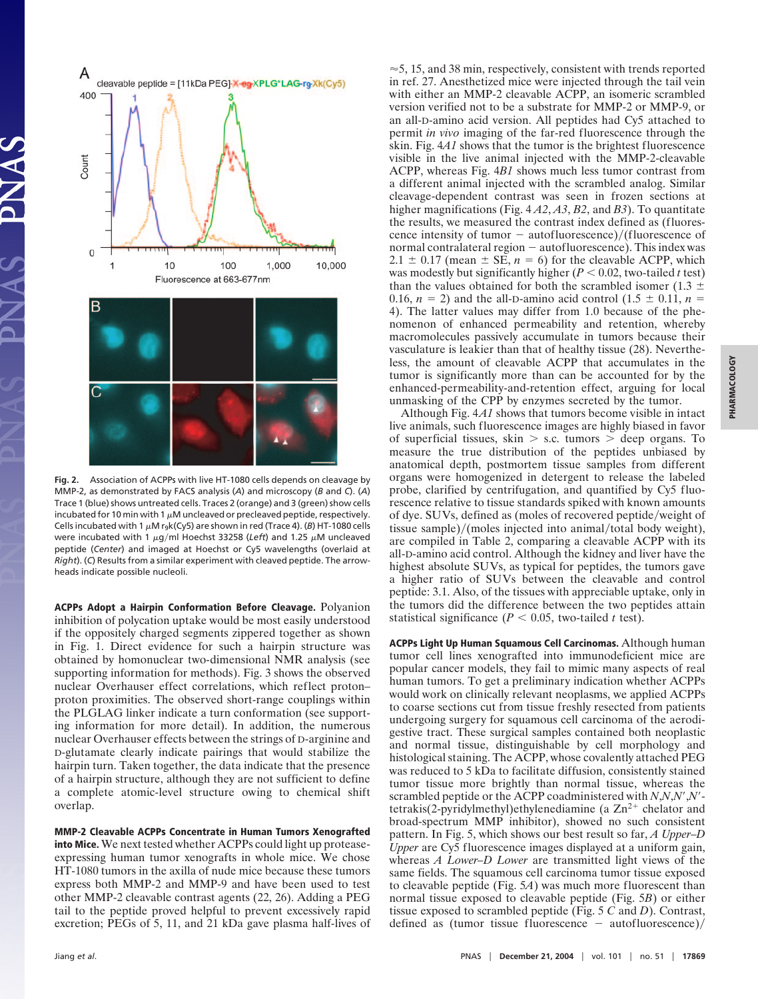

**Fig. 2.** Association of ACPPs with live HT-1080 cells depends on cleavage by MMP-2, as demonstrated by FACS analysis (*A*) and microscopy (*B* and *C*). (*A*) Trace 1 (blue) shows untreated cells. Traces 2 (orange) and 3 (green) show cells incubated for 10 min with 1  $\mu$ M uncleaved or precleaved peptide, respectively. Cells incubated with 1  $\mu$ M r<sub>9</sub>k(Cy5) are shown in red (Trace 4). (*B*) HT-1080 cells were incubated with 1  $\mu$ g/ml Hoechst 33258 (Left) and 1.25  $\mu$ M uncleaved peptide (*Center*) and imaged at Hoechst or Cy5 wavelengths (overlaid at *Right*). (*C*) Results from a similar experiment with cleaved peptide. The arrowheads indicate possible nucleoli.

**ACPPs Adopt a Hairpin Conformation Before Cleavage.** Polyanion inhibition of polycation uptake would be most easily understood if the oppositely charged segments zippered together as shown in Fig. 1. Direct evidence for such a hairpin structure was obtained by homonuclear two-dimensional NMR analysis (see supporting information for methods). Fig. 3 shows the observed nuclear Overhauser effect correlations, which reflect proton– proton proximities. The observed short-range couplings within the PLGLAG linker indicate a turn conformation (see supporting information for more detail). In addition, the numerous nuclear Overhauser effects between the strings of D-arginine and D-glutamate clearly indicate pairings that would stabilize the hairpin turn. Taken together, the data indicate that the presence of a hairpin structure, although they are not sufficient to define a complete atomic-level structure owing to chemical shift overlap.

**MMP-2 Cleavable ACPPs Concentrate in Human Tumors Xenografted into Mice.** We next tested whether ACPPs could light up proteaseexpressing human tumor xenografts in whole mice. We chose HT-1080 tumors in the axilla of nude mice because these tumors express both MMP-2 and MMP-9 and have been used to test other MMP-2 cleavable contrast agents (22, 26). Adding a PEG tail to the peptide proved helpful to prevent excessively rapid excretion; PEGs of 5, 11, and 21 kDa gave plasma half-lives of  $\approx$  5, 15, and 38 min, respectively, consistent with trends reported in ref. 27. Anesthetized mice were injected through the tail vein with either an MMP-2 cleavable ACPP, an isomeric scrambled version verified not to be a substrate for MMP-2 or MMP-9, or an all-D-amino acid version. All peptides had Cy5 attached to permit *in vivo* imaging of the far-red fluorescence through the skin. Fig. 4*A1* shows that the tumor is the brightest fluorescence visible in the live animal injected with the MMP-2-cleavable ACPP, whereas Fig. 4*B1* shows much less tumor contrast from a different animal injected with the scrambled analog. Similar cleavage-dependent contrast was seen in frozen sections at higher magnifications (Fig. 4 *A2*, *A3*, *B2*, and *B3*). To quantitate the results, we measured the contrast index defined as (fluorescence intensity of tumor  $-$  autofluorescence)/(fluorescence of normal contralateral region - autofluorescence). This index was  $2.1 \pm 0.17$  (mean  $\pm$  SE,  $n = 6$ ) for the cleavable ACPP, which was modestly but significantly higher  $(P < 0.02$ , two-tailed *t* test) than the values obtained for both the scrambled isomer (1.3  $\pm$ 0.16,  $n = 2$ ) and the all-D-amino acid control (1.5  $\pm$  0.11,  $n =$ 4). The latter values may differ from 1.0 because of the phenomenon of enhanced permeability and retention, whereby macromolecules passively accumulate in tumors because their vasculature is leakier than that of healthy tissue (28). Nevertheless, the amount of cleavable ACPP that accumulates in the tumor is significantly more than can be accounted for by the enhanced-permeability-and-retention effect, arguing for local unmasking of the CPP by enzymes secreted by the tumor.

Although Fig. 4*A1* shows that tumors become visible in intact live animals, such fluorescence images are highly biased in favor of superficial tissues, skin  $>$  s.c. tumors  $>$  deep organs. To measure the true distribution of the peptides unbiased by anatomical depth, postmortem tissue samples from different organs were homogenized in detergent to release the labeled probe, clarified by centrifugation, and quantified by Cy5 fluorescence relative to tissue standards spiked with known amounts of dye. SUVs, defined as (moles of recovered peptide/weight of tissue sample $)/$ (moles injected into animal/total body weight), are compiled in Table 2, comparing a cleavable ACPP with its all-D-amino acid control. Although the kidney and liver have the highest absolute SUVs, as typical for peptides, the tumors gave a higher ratio of SUVs between the cleavable and control peptide: 3.1. Also, of the tissues with appreciable uptake, only in the tumors did the difference between the two peptides attain statistical significance ( $P < 0.05$ , two-tailed *t* test).

**ACPPs Light Up Human Squamous Cell Carcinomas.** Although human tumor cell lines xenografted into immunodeficient mice are popular cancer models, they fail to mimic many aspects of real human tumors. To get a preliminary indication whether ACPPs would work on clinically relevant neoplasms, we applied ACPPs to coarse sections cut from tissue freshly resected from patients undergoing surgery for squamous cell carcinoma of the aerodigestive tract. These surgical samples contained both neoplastic and normal tissue, distinguishable by cell morphology and histological staining. The ACPP, whose covalently attached PEG was reduced to 5 kDa to facilitate diffusion, consistently stained tumor tissue more brightly than normal tissue, whereas the scrambled peptide or the ACPP coadministered with *N*,*N*,*N*,*N* tetrakis(2-pyridylmethyl)ethylenediamine (a  $\text{Zn}^{2+}$  chelator and broad-spectrum MMP inhibitor), showed no such consistent pattern. In Fig. 5, which shows our best result so far, *A Upper*–*D Upper* are Cy5 fluorescence images displayed at a uniform gain, whereas *A Lower–D Lower* are transmitted light views of the same fields. The squamous cell carcinoma tumor tissue exposed to cleavable peptide (Fig. 5*A*) was much more fluorescent than normal tissue exposed to cleavable peptide (Fig. 5*B*) or either tissue exposed to scrambled peptide (Fig. 5 *C* and *D*). Contrast, defined as (tumor tissue fluorescence  $-$  autofluorescence)/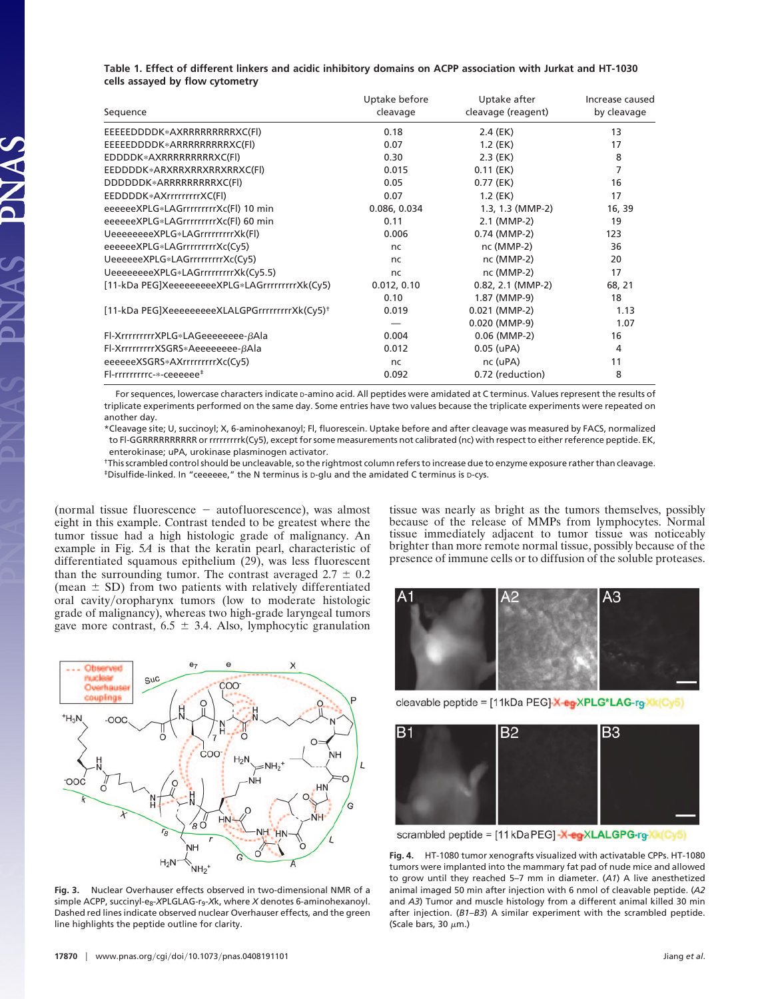## **Table 1. Effect of different linkers and acidic inhibitory domains on ACPP association with Jurkat and HT-1030 cells assayed by flow cytometry**

| Sequence                                                   | Uptake before<br>cleavage | Uptake after<br>cleavage (reagent) | Increase caused<br>by cleavage |
|------------------------------------------------------------|---------------------------|------------------------------------|--------------------------------|
| EEEEEDDDDK*AXRRRRRRRRRXC(FI)                               | 0.18                      | $2.4$ (EK)                         | 13                             |
| EEEEEDDDDK*ARRRRRRRRRXC(FI)                                | 0.07                      | $1.2$ (EK)                         | 17                             |
| EDDDDK*AXRRRRRRRRRXC(FI)                                   | 0.30                      | $2.3$ (EK)                         | 8                              |
| EEDDDDK*ARXRRXRRXRRXRRXC(FI)                               | 0.015                     | $0.11$ (EK)                        | 7                              |
| DDDDDDK*ARRRRRRRRXC(Fl)                                    | 0.05                      | $0.77$ (EK)                        | 16                             |
| EEDDDDK*AXrrrrrrrrXC(Fl)                                   | 0.07                      | $1.2$ (EK)                         | 17                             |
| eeeeeeXPLG*LAGrrrrrrrrrXc(Fl) 10 min                       | 0.086, 0.034              | $1.3, 1.3$ (MMP-2)                 | 16, 39                         |
| eeeeeeXPLG*LAGrrrrrrrrXc(Fl) 60 min                        | 0.11                      | 2.1 (MMP-2)                        | 19                             |
| UeeeeeeeeXPLG*LAGrrrrrrrrrXk(Fl)                           | 0.006                     | 0.74 (MMP-2)                       | 123                            |
| eeeeeeXPLG*LAGrrrrrrrrrXc(Cy5)                             | <sub>nc</sub>             | nc (MMP-2)                         | 36                             |
| UeeeeeeXPLG*LAGrrrrrrrrrXc(Cy5)                            | <sub>nc</sub>             | nc (MMP-2)                         | 20                             |
| UeeeeeeeeXPLG*LAGrrrrrrrrrXk(Cy5.5)                        | <sub>nc</sub>             | nc (MMP-2)                         | 17                             |
| [11-kDa PEG]XeeeeeeeeeXPLG*LAGrrrrrrrrrXk(Cy5)             | 0.012, 0.10               | $0.82, 2.1$ (MMP-2)                | 68, 21                         |
|                                                            | 0.10                      | 1.87 (MMP-9)                       | 18                             |
| [11-kDa PEG]XeeeeeeeeeXLALGPGrrrrrrrrrXk(Cy5) <sup>+</sup> | 0.019                     | $0.021$ (MMP-2)                    | 1.13                           |
|                                                            |                           | $0.020$ (MMP-9)                    | 1.07                           |
| Fl-XrrrrrrrrxPLG*LAGeeeeeee-βAla                           | 0.004                     | $0.06$ (MMP-2)                     | 16                             |
| Fl-XrrrrrrrrrXSGRS*Aeeeeeeee-βAla                          | 0.012                     | $0.05$ (uPA)                       | 4                              |
| eeeeeeXSGRS*AXrrrrrrrrrXc(Cy5)                             | nc.                       | nc (uPA)                           | 11                             |
| Fl-rrrrrrrrrc-*-ceeeeee <sup>#</sup>                       | 0.092                     | 0.72 (reduction)                   | 8                              |

For sequences, lowercase characters indicate p-amino acid. All peptides were amidated at C terminus. Values represent the results of triplicate experiments performed on the same day. Some entries have two values because the triplicate experiments were repeated on another day.

\*Cleavage site; U, succinoyl; X, 6-aminohexanoyl; Fl, fluorescein. Uptake before and after cleavage was measured by FACS, normalized to Fl-GGRRRRRRRRRR or rrrrrrrrrk(Cy5), except for some measurements not calibrated (nc) with respect to either reference peptide. EK, enterokinase; uPA, urokinase plasminogen activator.

†This scrambled control should be uncleavable, so the rightmost column refers to increase due to enzyme exposure rather than cleavage. ‡Disulfide-linked. In "ceeeeee," the N terminus is D-glu and the amidated C terminus is D-cys.

(normal tissue fluorescence  $-$  autofluorescence), was almost eight in this example. Contrast tended to be greatest where the tumor tissue had a high histologic grade of malignancy. An example in Fig. 5*A* is that the keratin pearl, characteristic of differentiated squamous epithelium (29), was less fluorescent than the surrounding tumor. The contrast averaged  $2.7 \pm 0.2$ (mean  $\pm$  SD) from two patients with relatively differentiated oral cavity/oropharynx tumors (low to moderate histologic grade of malignancy), whereas two high-grade laryngeal tumors gave more contrast,  $6.5 \pm 3.4$ . Also, lymphocytic granulation



**Fig. 3.** Nuclear Overhauser effects observed in two-dimensional NMR of a simple ACPP, succinyl-e<sub>8</sub>-XPLGLAG-r<sub>9</sub>-Xk, where *X* denotes 6-aminohexanoyl. Dashed red lines indicate observed nuclear Overhauser effects, and the green line highlights the peptide outline for clarity.

tissue was nearly as bright as the tumors themselves, possibly because of the release of MMPs from lymphocytes. Normal tissue immediately adjacent to tumor tissue was noticeably brighter than more remote normal tissue, possibly because of the presence of immune cells or to diffusion of the soluble proteases.



cleavable peptide = [11kDa PEG]-X-eg-XPLG\*LAG-rg-Xk(Cy5)



scrambled peptide = [11 kDa PEG]-X-eg-XLALGPG-rg-Xk(Cy5)

**Fig. 4.** HT-1080 tumor xenografts visualized with activatable CPPs. HT-1080 tumors were implanted into the mammary fat pad of nude mice and allowed to grow until they reached 5–7 mm in diameter. (*A1*) A live anesthetized animal imaged 50 min after injection with 6 nmol of cleavable peptide. (*A2* and *A3*) Tumor and muscle histology from a different animal killed 30 min after injection. (*B1*–*B3*) A similar experiment with the scrambled peptide. (Scale bars, 30  $\mu$ m.)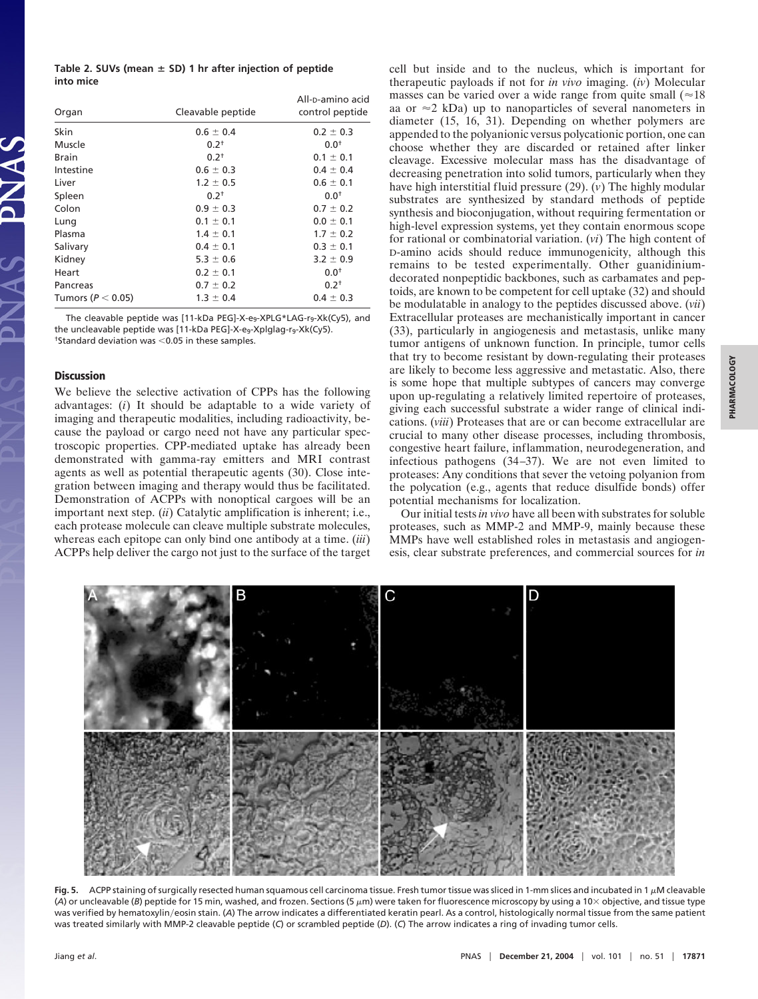|           | Table 2. SUVs (mean $\pm$ SD) 1 hr after injection of peptide |  |  |
|-----------|---------------------------------------------------------------|--|--|
| into mice |                                                               |  |  |

| Organ                 | Cleavable peptide | All-p-amino acid<br>control peptide |
|-----------------------|-------------------|-------------------------------------|
| Skin                  | $0.6 \pm 0.4$     | $0.2 \pm 0.3$                       |
| Muscle                | $0.2^{+}$         | $0.0^{+}$                           |
| <b>Brain</b>          | $0.2^{+}$         | $0.1 \pm 0.1$                       |
| Intestine             | $0.6 \pm 0.3$     | $0.4 \pm 0.4$                       |
| Liver                 | $1.2 \pm 0.5$     | $0.6 \pm 0.1$                       |
| Spleen                | $0.2^{+}$         | $0.0^{+}$                           |
| Colon                 | $0.9 \pm 0.3$     | $0.7 \pm 0.2$                       |
| Lung                  | $0.1 \pm 0.1$     | $0.0 \pm 0.1$                       |
| Plasma                | $1.4 \pm 0.1$     | $1.7 \pm 0.2$                       |
| Salivary              | $0.4 \pm 0.1$     | $0.3 \pm 0.1$                       |
| Kidney                | $5.3 \pm 0.6$     | $3.2 \pm 0.9$                       |
| Heart                 | $0.2 \pm 0.1$     | $0.0^{+}$                           |
| Pancreas              | $0.7 \pm 0.2$     | $0.2^{+}$                           |
| Tumors ( $P < 0.05$ ) | $1.3 \pm 0.4$     | $0.4 \pm 0.3$                       |

The cleavable peptide was [11-kDa PEG]-X-e<sub>9</sub>-XPLG\*LAG-r<sub>9</sub>-Xk(Cy5), and the uncleavable peptide was [11-kDa PEG]-X-e<sub>9</sub>-Xplglag-r<sub>9</sub>-Xk(Cy5).  $\dagger$ Standard deviation was <0.05 in these samples.

### **Discussion**

We believe the selective activation of CPPs has the following advantages: (*i*) It should be adaptable to a wide variety of imaging and therapeutic modalities, including radioactivity, because the payload or cargo need not have any particular spectroscopic properties. CPP-mediated uptake has already been demonstrated with gamma-ray emitters and MRI contrast agents as well as potential therapeutic agents (30). Close integration between imaging and therapy would thus be facilitated. Demonstration of ACPPs with nonoptical cargoes will be an important next step. (*ii*) Catalytic amplification is inherent; i.e., each protease molecule can cleave multiple substrate molecules, whereas each epitope can only bind one antibody at a time. (*iii*) ACPPs help deliver the cargo not just to the surface of the target cell but inside and to the nucleus, which is important for therapeutic payloads if not for *in vivo* imaging. (*iv*) Molecular masses can be varied over a wide range from quite small  $(\approx 18)$ aa or  $\approx$  2 kDa) up to nanoparticles of several nanometers in diameter (15, 16, 31). Depending on whether polymers are appended to the polyanionic versus polycationic portion, one can choose whether they are discarded or retained after linker cleavage. Excessive molecular mass has the disadvantage of decreasing penetration into solid tumors, particularly when they have high interstitial fluid pressure (29). (*v*) The highly modular substrates are synthesized by standard methods of peptide synthesis and bioconjugation, without requiring fermentation or high-level expression systems, yet they contain enormous scope for rational or combinatorial variation. (*vi*) The high content of D-amino acids should reduce immunogenicity, although this remains to be tested experimentally. Other guanidiniumdecorated nonpeptidic backbones, such as carbamates and peptoids, are known to be competent for cell uptake (32) and should be modulatable in analogy to the peptides discussed above. (*vii*) Extracellular proteases are mechanistically important in cancer (33), particularly in angiogenesis and metastasis, unlike many tumor antigens of unknown function. In principle, tumor cells that try to become resistant by down-regulating their proteases are likely to become less aggressive and metastatic. Also, there is some hope that multiple subtypes of cancers may converge upon up-regulating a relatively limited repertoire of proteases, giving each successful substrate a wider range of clinical indications. (*viii*) Proteases that are or can become extracellular are crucial to many other disease processes, including thrombosis, congestive heart failure, inflammation, neurodegeneration, and infectious pathogens (34–37). We are not even limited to proteases: Any conditions that sever the vetoing polyanion from the polycation (e.g., agents that reduce disulfide bonds) offer potential mechanisms for localization.

Our initial tests *in vivo* have all been with substrates for soluble proteases, such as MMP-2 and MMP-9, mainly because these MMPs have well established roles in metastasis and angiogenesis, clear substrate preferences, and commercial sources for *in*



Fig. 5. ACPP staining of surgically resected human squamous cell carcinoma tissue. Fresh tumor tissue was sliced in 1-mm slices and incubated in 1 µM cleavable (A) or uncleavable (B) peptide for 15 min, washed, and frozen. Sections (5  $\mu$ m) were taken for fluorescence microscopy by using a 10× objective, and tissue type was verified by hematoxylin/eosin stain. (A) The arrow indicates a differentiated keratin pearl. As a control, histologically normal tissue from the same patient was treated similarly with MMP-2 cleavable peptide (*C*) or scrambled peptide (*D*). (*C*) The arrow indicates a ring of invading tumor cells.